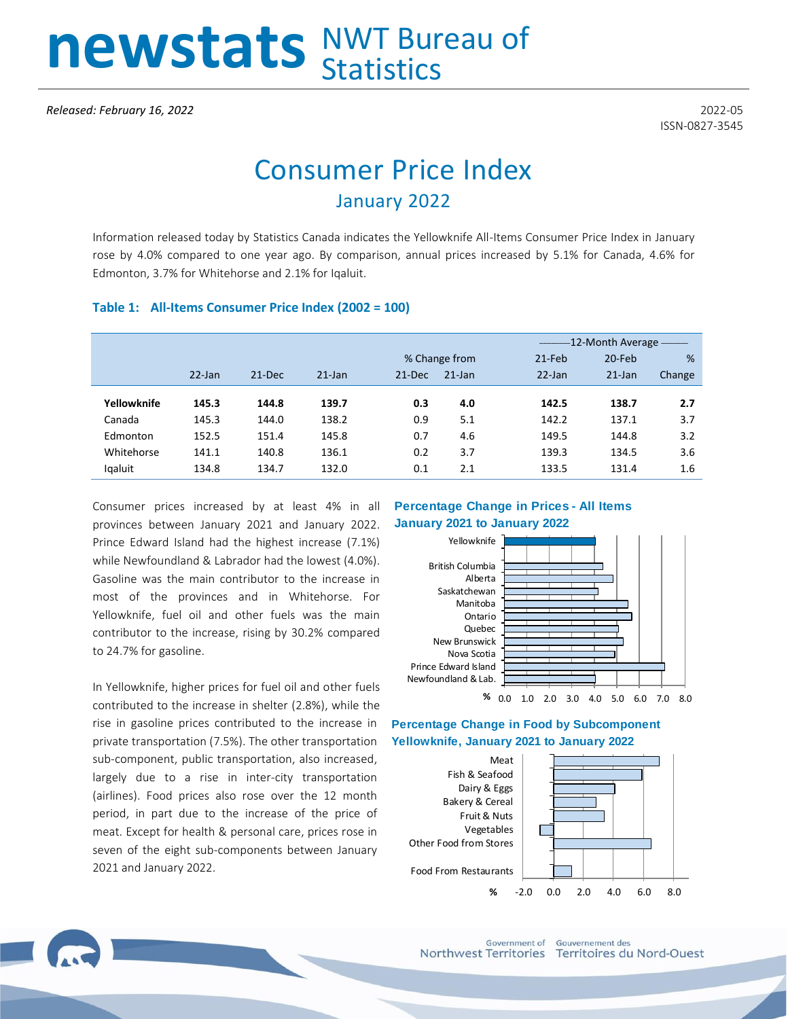# newstats NWT Bureau of

## Consumer Price Index January 2022

Information released today by Statistics Canada indicates the Yellowknife All-Items Consumer Price Index in January rose by 4.0% compared to one year ago. By comparison, annual prices increased by 5.1% for Canada, 4.6% for Edmonton, 3.7% for Whitehorse and 2.1% for Iqaluit.

#### **Table 1: All-Items Consumer Price Index (2002 = 100)**

|             |           |          |           |               |           |           | -12-Month Average - The Month |        |  |
|-------------|-----------|----------|-----------|---------------|-----------|-----------|-------------------------------|--------|--|
|             |           |          |           | % Change from |           | $21$ -Feb | 20-Feb                        | %      |  |
|             | $22$ -Jan | $21-Dec$ | $21$ -Jan | $21 - Dec$    | $21$ -Jan | $22$ -Jan | $21$ -Jan                     | Change |  |
|             |           |          |           |               |           |           |                               |        |  |
| Yellowknife | 145.3     | 144.8    | 139.7     | 0.3           | 4.0       | 142.5     | 138.7                         | 2.7    |  |
| Canada      | 145.3     | 144.0    | 138.2     | 0.9           | 5.1       | 142.2     | 137.1                         | 3.7    |  |
| Edmonton    | 152.5     | 151.4    | 145.8     | 0.7           | 4.6       | 149.5     | 144.8                         | 3.2    |  |
| Whitehorse  | 141.1     | 140.8    | 136.1     | 0.2           | 3.7       | 139.3     | 134.5                         | 3.6    |  |
| lgaluit     | 134.8     | 134.7    | 132.0     | 0.1           | 2.1       | 133.5     | 131.4                         | 1.6    |  |

Consumer prices increased by at least 4% in all provinces between January 2021 and January 2022. Prince Edward Island had the highest increase (7.1%) while Newfoundland & Labrador had the lowest (4.0%). Gasoline was the main contributor to the increase in most of the provinces and in Whitehorse. For Yellowknife, fuel oil and other fuels was the main contributor to the increase, rising by 30.2% compared to 24.7% for gasoline.

In Yellowknife, higher prices for fuel oil and other fuels contributed to the increase in shelter (2.8%), while the rise in gasoline prices contributed to the increase in private transportation (7.5%). The other transportation sub-component, public transportation, also increased, largely due to a rise in inter-city transportation (airlines). Food prices also rose over the 12 month period, in part due to the increase of the price of meat. Except for health & personal care, prices rose in seven of the eight sub-components between January 2021 and January 2022.

#### **Percentage Change in Prices - All Items January 2021 to January 2022**







Government of **Gouvernement** des Northwest Territories Territoires du Nord-Ouest